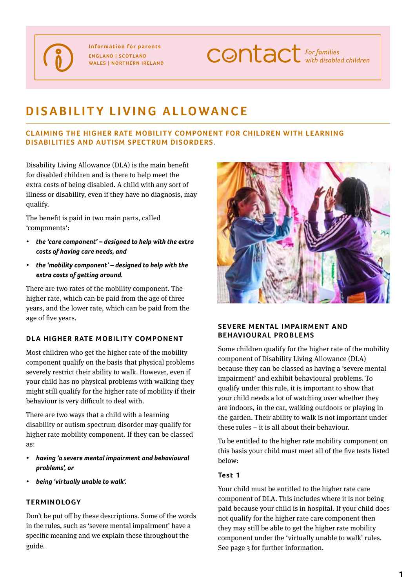**Information for parents England | Scotland Wales | Northern Ireland** **CONTACT** For families

# **disability living allowance**

#### **CLAIMING THE HIGHER RATE MOBILITY COMPONENT FOR CHILDREN WITH LEARNING disabilities and autism spectrum disorders.**

Disability Living Allowance (DLA) is the main benefit for disabled children and is there to help meet the extra costs of being disabled. A child with any sort of illness or disability, even if they have no diagnosis, may qualify.

The benefit is paid in two main parts, called 'components':

- *• the 'care component' – designed to help with the extra costs of having care needs, and*
- *• the 'mobility component' – designed to help with the extra costs of getting around.*

There are two rates of the mobility component. The higher rate, which can be paid from the age of three years, and the lower rate, which can be paid from the age of five years.

#### **DLA HIGHER RATE MOBILITY COMPONENT**

Most children who get the higher rate of the mobility component qualify on the basis that physical problems severely restrict their ability to walk. However, even if your child has no physical problems with walking they might still qualify for the higher rate of mobility if their behaviour is very difficult to deal with.

There are two ways that a child with a learning disability or autism spectrum disorder may qualify for higher rate mobility component. If they can be classed as:

- *• having 'a severe mental impairment and behavioural problems', or*
- *• being 'virtually unable to walk'.*

#### **Terminology**

Don't be put off by these descriptions. Some of the words in the rules, such as 'severe mental impairment' have a specific meaning and we explain these throughout the guide.



#### **SEVERE MENTAL IMPAIRMENT AND BEHAVIOURAL PROBLEMS**

Some children qualify for the higher rate of the mobility component of Disability Living Allowance (DLA) because they can be classed as having a 'severe mental impairment' and exhibit behavioural problems. To qualify under this rule, it is important to show that your child needs a lot of watching over whether they are indoors, in the car, walking outdoors or playing in the garden. Their ability to walk is not important under these rules – it is all about their behaviour.

To be entitled to the higher rate mobility component on this basis your child must meet all of the five tests listed below:

#### **Test 1**

Your child must be entitled to the higher rate care component of DLA. This includes where it is not being paid because your child is in hospital. If your child does not qualify for the higher rate care component then they may still be able to get the higher rate mobility component under the 'virtually unable to walk' rules. See page 3 for further information.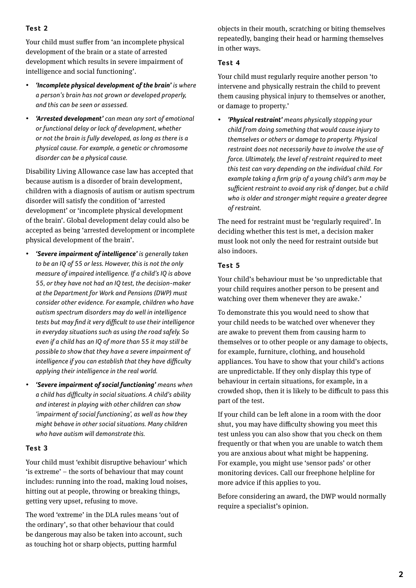## **Test 2**

Your child must suffer from 'an incomplete physical development of the brain or a state of arrested development which results in severe impairment of intelligence and social functioning'.

- *'Incomplete physical development of the brain'* **is where** *a person's brain has not grown or developed properly, and this can be seen or assessed.*
- *• 'Arrested development' can mean any sort of emotional or functional delay or lack of development, whether or not the brain is fully developed, as long as there is a physical cause. For example, a genetic or chromosome disorder can be a physical cause.*

Disability Living Allowance case law has accepted that because autism is a disorder of brain development, children with a diagnosis of autism or autism spectrum disorder will satisfy the condition of 'arrested development' or 'incomplete physical development of the brain'. Global development delay could also be accepted as being 'arrested development or incomplete physical development of the brain'.

- *• 'Severe impairment of intelligence' is generally taken to be an IQ of 55 or less. However, this is not the only measure of impaired intelligence. If a child's IQ is above 55, or they have not had an IQ test, the decision-maker at the Department for Work and Pensions (DWP) must consider other evidence. For example, children who have autism spectrum disorders may do well in intelligence tests but may find it very difficult to use their intelligence in everyday situations such as using the road safely. So even if a child has an IQ of more than 55 it may still be possible to show that they have a severe impairment of intelligence if you can establish that they have difficulty applying their intelligence in the real world.*
- *• 'Severe impairment of social functioning' means when a child has difficulty in social situations. A child's ability and interest in playing with other children can show 'impairment of social functioning', as well as how they might behave in other social situations. Many children who have autism will demonstrate this.*

#### **Test 3**

Your child must 'exhibit disruptive behaviour' which 'is extreme' – the sorts of behaviour that may count includes: running into the road, making loud noises, hitting out at people, throwing or breaking things, getting very upset, refusing to move.

The word 'extreme' in the DLA rules means 'out of the ordinary', so that other behaviour that could be dangerous may also be taken into account, such as touching hot or sharp objects, putting harmful

objects in their mouth, scratching or biting themselves repeatedly, banging their head or harming themselves in other ways.

#### **Te st 4**

Your child must regularly require another person 'to intervene and physically restrain the child to prevent them causing physical injury to themselves or another, or damage to property.'

*• 'Physical restraint' means physically stopping your child from doing something that would cause injury to themselves or others or damage to property. Physical restraint does not necessarily have to involve the use of force. Ultimately, the level of restraint required to meet this test can vary depending on the individual child. For example taking a firm grip of a young child's arm may be sufficient restraint to avoid any risk of danger, but a child who is older and stronger might require a greater degree of restraint.* 

The need for restraint must be 'regularly required'. In deciding whether this test is met, a decision maker must look not only the need for restraint outside but also indoors.

# **Test 5**

Your child's behaviour must be 'so unpredictable that your child requires another person to be present and watching over them whenever they are awake.'

To demonstrate this you would need to show that your child needs to be watched over whenever they are awake to prevent them from causing harm to themselves or to other people or any damage to objects, for example, furniture, clothing, and household appliances. You have to show that your child's actions are unpredictable. If they only display this type of behaviour in certain situations, for example, in a crowded shop, then it is likely to be difficult to pass this part of the test.

If your child can be left alone in a room with the door shut, you may have difficulty showing you meet this test unless you can also show that you check on them frequently or that when you are unable to watch them you are anxious about what might be happening. For example, you might use 'sensor pads' or other monitoring devices. Call our freephone helpline for more advice if this applies to you.

Before considering an award, the DWP would normally require a specialist's opinion.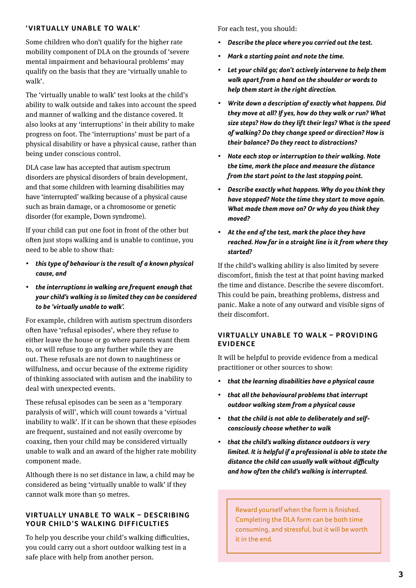#### **'VIRTUALLY UNABLE TO WALK'**

Some children who don't qualify for the higher rate mobility component of DLA on the grounds of 'severe mental impairment and behavioural problems' may qualify on the basis that they are 'virtually unable to walk'.

The 'virtually unable to walk' test looks at the child's ability to walk outside and takes into account the speed and manner of walking and the distance covered. It also looks at any 'interruptions' in their ability to make progress on foot. The 'interruptions' must be part of a physical disability or have a physical cause, rather than being under conscious control.

DLA case law has accepted that autism spectrum disorders are physical disorders of brain development, and that some children with learning disabilities may have 'interrupted' walking because of a physical cause such as brain damage, or a chromosome or genetic disorder (for example, Down syndrome).

If your child can put one foot in front of the other but often just stops walking and is unable to continue, you need to be able to show that:

- *• this type of behaviour is the result of a known physical cause, and*
- *• the interruptions in walking are frequent enough that your child's walking is so limited they can be considered to be 'virtually unable to walk'.*

For example, children with autism spectrum disorders often have 'refusal episodes', where they refuse to either leave the house or go where parents want them to, or will refuse to go any further while they are out. These refusals are not down to naughtiness or wilfulness, and occur because of the extreme rigidity of thinking associated with autism and the inability to deal with unexpected events.

These refusal episodes can be seen as a 'temporary paralysis of will', which will count towards a 'virtual inability to walk'. If it can be shown that these episodes are frequent, sustained and not easily overcome by coaxing, then your child may be considered virtually unable to walk and an award of the higher rate mobility component made.

Although there is no set distance in law, a child may be considered as being 'virtually unable to walk' if they cannot walk more than 50 metres.

#### **VIRTUALLY UNABLE TO WALK – DESCRIBING YOUR CHILD'S WALKING DIFFICULTIES**

To help you describe your child's walking difficulties, you could carry out a short outdoor walking test in a safe place with help from another person.

For each test, you should:

- *• Describe the place where you carried out the test.*
- *• Mark a starting point and note the time.*
- *• Let your child go; don't actively intervene to help them walk apart from a hand on the shoulder or words to help them start in the right direction.*
- *• Write down a description of exactly what happens. Did they move at all? If yes, how do they walk or run? What size steps? How do they lift their legs? What is the speed of walking? Do they change speed or direction? How is their balance? Do they react to distractions?*
- *• Note each stop or interruption to their walking. Note the time, mark the place and measure the distance from the start point to the last stopping point.*
- *• Describe exactly what happens. Why do you think they have stopped? Note the time they start to move again. What made them move on? Or why do you think they moved?*
- *• At the end ofthe test, mark the place they have reached. How far in a straight line is it from where they started?*

If the child's walking ability is also limited by severe discomfort, finish the test at that point having marked the time and distance. Describe the severe discomfort. This could be pain, breathing problems, distress and panic. Make a note of any outward and visible signs of their discomfort.

#### **VIRTUALLY UNABLE TO WALK – PROVIDING evidence**

It will be helpful to provide evidence from a medical practitioner or other sources to show:

- *• that the learning disabilities have a physical cause*
- *• that all the behavioural problems that interrupt outdoor walking stem from a physical cause*
- *• that the child is not able to deliberately and selfconsciously choose whether to walk*
- *• that the child's walking distance outdoors is very limited. It is helpful if a professional is able to state the distance the child can usually walk without difficulty and how often the child's walking is interrupted.*

Reward yourself when the form is finished. Completing the DLA form can be both time consuming, and stressful, but it will be worth it in the end.